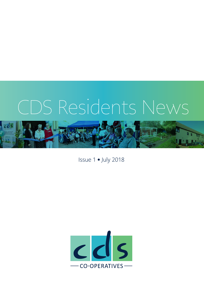# CDS Residents News



Issue 1 • July 2018

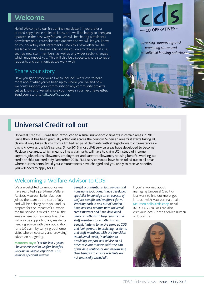### Welcome

Hello! Welcome to our first online newsletter! If you prefer a printed copy please do let us know and we'll be happy to keep you updated in the best way for you. We will be sharing a residents newsletter on our website each quarter and we will let you know on your quartley rent statements when this newsletter will be available online. The aim is to update you on any changes at CDS such as new staff members, as well as any wider sector changes which may impact you. This will also be a space to share stories of residents and communities we work with!

#### Share your story

Have you got a story you'd like to include? We'd love to hear more about what you've been up to where you live and how we could support your community on any community projects. Let us know and we will share your news in our next newsletter. Send your story to [talktous@cds.coop](mailto:talktous%40cds.coop?subject=)



Providing, supporting and promoting co-op and nmunity-led housing solution

### Universal Credit roll out

Universal Credit (UC) was first introduced to a small number of claimants in certain areas in 2013. Since then, it has been gradually rolled out across the country. When an area first starts taking UC claims, it only takes claims from a limited range of claimants with straightforward circumstances – this is known as the LIVE service. Since 2016, most LIVE service areas have developed to become FULL service areas, which means all new claimants will have to claim UC instead of income support, jobseeker's allowance, employment and support allowance, housing benefit, working tax credit or child tax credit. By December 2018, FULL service would have been rolled out to all areas where our residents live. If your circumstances have changed and you apply to receive benefits you will need to apply for UC.

### Welcoming a Welfare Advisor to CDS

We are delighted to announce we have recruited a part-time Welfare Advisor, Maureen Bello. Maureen joined the team at the start of July and will be helping both you and us prepare for the impact of UC when the full service is rolled out to all the areas where our residents live. She will also be supporting any residents needing advice with their application for a UC claim by carrying out home visits where necessary and providing advice on budgeting.

Maureen says: *"For the last 7 years I have specialised in welfare benefits, working in various capacities. This includes specialist welfare* 

*benefit organisations, law centres and housing associations. I have developed specialist knowledge on all aspects of welfare benefits and welfare reform. Working both in and out of London, I have assisted tenants with universal credit matters and have developed various methods to help tenants and staff members cope with this new benefit. I intend to do the same at CDS and look forward to assisting residents and staff members with the transition to universal credit, in addition to providing support and advice on all other relevant matters with the aim of building confidence and maximising their benefits to ensure residents are not financially excluded".* 

If you're worried about managing Universal Credit or just want to find out more, get in touch with Maureen via email: [Maureen.bello@cds.coop](mailto:Maureen.bello%40cds.coop?subject=) or call 0203 096 7730. You can also visit your local Citizens Advice Bureau or Jobcentre.

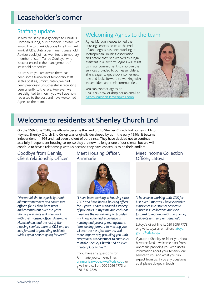### Leaseholder's corner

#### Staffing update

In May, we sadly said goodbye to Claudius Hotobah-during, our Leasehold Advisor. We would like to thank Claudius for all his hard work at CDS. Until a permanent Leasehold Advisor could join us, we hired a temporary member of staff, Tunde Odukoya, who is experienced in the management of leasehold properties.

As I'm sure you are aware there has been some turnover of temporary staff in this post as, unfortunately, we had been previously unsuccessful in recruiting permanently to the role. However, we are delighted to inform you we have now recruited to the post and have welcomed Agnes to the team.

### Welcoming Agnes to the team

Agnes Marsden Jeeves joined the housing services team at the end of June. Agnes has been working at Metropolitan Housing Association and before that, she worked as a legal assistant in a law firm. Agnes will assist us in our commitment to improve the services provided to our leaseholders. She is eager to get stuck into her new role and looks forward to working with leaseholders and their communities.

You can contact Agnes on 020 3096 7782 or drop her an email at: [Agnes.Marsden.Jeeves@cds.coop](mailto:Agnes.Marsden.Jeeves%40cds.coop?subject=)



### Welcome to residents at Shenley Church End

On the 15th June 2018, we officially became the landlord to Shenley Church End homes in Milton Keynes. Shenley Church End Co-op was originally developed by us in the early 1990s. It became independent in 1993 and had been a client of ours since. They have decided not to continue as a fully independent housing co-op, so they are now no longer one of our clients, but we will continue to have a relationship with us because they have chosen us to be their landlord.

#### Goodbye from Dennis, Client relationship Officer



*"We would like to especially thank all tenant members and committee officers for all their hard work and commitment over the years. Shenley residents will now work with their housing officer, Annmarie Nwachukwu, and the rest of the housing services team at CDS and we look forward to providing residents with a great service going forward."*

#### Meet Housing Officer, Annmarie



*"I have been working in Housing since 2007 and have been a housing officer for 5 years. I have managed a variety of properties in my time and each has given me the opportunity to broaden my knowledge and experience in housing and property management. I am looking forward to meeting you all over the next few months and more importantly, providing you with exceptional management to enable us to make Shenley Church End an even greater place to live!"* 

If you have any questions for Annmarie you can email her: [annmarie.nwachukwu@cds.coop](mailto:annmarie.nwachukwu%40cds.coop?subject=) or give her a call on: 020 3096 7773 or 07818 017828.

#### Meet Income Collection Officer, Latoya



*"I have been working with CDS for just over 9 months. I have extensive experience in customer services & expertise in collections and look forward to working with the Shenley residents with any rent queries".* 

Latoya's direct line is: 020 3096 7778 or give Latoya an email on: [latoya.](mailto:latoya.grant%40cds.coop?subject=) [grant@cds.coop.](mailto:latoya.grant%40cds.coop?subject=)

If you're a Shenley resident you should have received a welcome pack from Annmarie providing you with useful information about your tenancy, our service to you and what you can expect from us. If you any questions at all please do get in touch.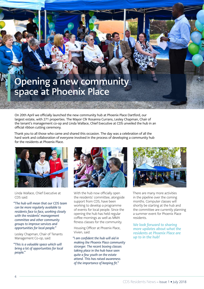## Opening a new community space at Phoenix Place

On 20th April we officially launched the new community hub at Phoenix Place Dartford, our largest estate, with 271 properties. The Mayor Cllr Rosanna Currans, Lesley Chapman, Chair of the tenant's management co-op and Linda Wallace, Chief Executive at CDS unveiled the hub in an official ribbon cutting ceremony.

Thank you to all those who came and shared this occasion. The day was a celebration of all the hard work and collaboration of everyone involved in the process of developing a community hub for the residents at Phoenix Place.



Linda Wallace, Chief Executive at CDS said:

*"The hub will mean that our CDS team can be more regularly available to residents face to face, working closely with the residents' management committee and other community groups to improve services and opportunities for local people."*

Lesley Chapman, Chair of Tenants Management Co-op, said:

*"This is a valuable space which will bring a lot of opportunities for local people."*



With the hub now officially open the residents' committee, alongside support from CDS, have been working to develop a programme of events for local people. Since the opening the hub has held regular coffee mornings as well as MMA fitness classes for the community.

Housing Officer at Phoenix Place, Vivien, said:

*"I am confident the hub will aid in making the Phoenix Place community stronger. The recent boxing classes taking place in the hub have seen quite a few youth on the estate attend. This has raised awareness of the importance of keeping fit."*



There are many more activities in the pipeline over the coming months. Computer classes will shortly be starting at the hub and the committee are currently planning a summer event for Phoenix Place residents.

*We look forward to sharing more updates about what the residents at Phoenix Place are up to in the hub!*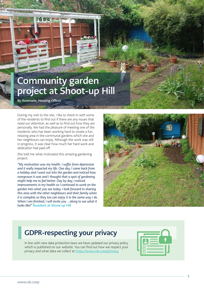### Community garden project at Shoot-up Hill

By Annmarie, Housing Officer

During my visit to the site, I like to check in with some of the residents to find out if there are any issues that need our attention, as well as to find out how they are personally. We had the pleasure of meeting one of the residents who has been working hard to create a fun, relaxing area in the communal gardens which she and her neighbours can enjoy. Although the work was still in progress, it was clear how much her hard work and dedication had paid off.

She told me what motivated this amazing gardening project:

*"My motivation was my health. I suffer from depression and it really impacted my life. One day, I came back from a holiday and I went out into the garden and noticed how overgrown it was and I thought that a spot of gardening might help me to feel better. Day by day, I noticed improvements in my health so I continued to work on the garden into what you see today. I look forward to sharing this area with the other neighbours and their family when it is complete so they too can enjoy it in the same way I do. When I am finished, I will invite you …along to see what it looks like!"* Resident at Shoot-up Hill



### GDPR-respecting your privacy

In line with new data protection laws we have updated our privacy policy which is published on our website. You can find out how we respect your privacy and what data we collect at https://www.cds.coop/privacy.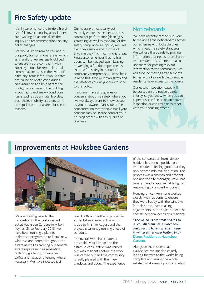### Fire Safety update

It is 1 year on since the terrible fire at Grenfell Tower. Housing associations are awaiting on actions from the inquiry and recommendations on any policy changes.

We would like to remind you about our policy for communal areas, which as a landlord we are legally obliged to ensure we are compliant with. Nothing should be kept in internal communal areas, as in the event of a fire any items left out would catch fire, cause an obstruction during an evacuation and be a hazard for fire fighters accessing the building in poor light and smoky conditions. Items such as door mats, bicycles, pushchairs, mobility scooters can't be kept in communal area for these reasons.

Our housing officers carry out monthly estate inspections to assess contractor performance (cleaning & gardening) as well as checking for fire safety compliance. Our policy requires that they remove and dispose of anything they find in communal areas. Please also remember that no fire doors can be wedged open. Leaving or wedging a fire door open means that the fire safety in that area is completely compromised. Please bear in mind this is for your own safety and the safety of your neighbours to stick to this policy.

If you ever have any queries or concerns about fire safety where you live we always want to know as soon as you are aware of an issue or feel concerned, no matter how small your concern may be. Please contact your housing officer with any queries or concerns.

#### **Noticeboards**

We have recently carried out work to replace all the noticeboards across our schemes with lockable ones, which meet fire safety standards. We will use the boards to provide information that needs to be shared with residents. Residents can also use them for posting relevant information to the community. We will soon be making arrangements to make the key available to enable residents have access to the boards.

Our estate inspection dates will be posted on the notice boards shortly, so you know when you can expect us, can join us on an estate inspection or can arrange to meet with your housing officer.

### Improvements at Hauksbee Gardens



We are drawing near to the completion of the works carried out at Hauksbee Gardens in Milton Keynes. Since February 2018, we have been running a planned maintence programme to install new windows and doors throughout the estate as well as carrying out general estate repairs such as repainting, replacing guttering, downpipes, soffits and facias and fencing where necessary. We have invested just

over £500k across the 50 properties at Hauksbee Gardens. The work is due to finish in August and the project is currently running ahead of schedule.

The overall work has created a noticeable visual impact on the estate. A consultation was carried out with residents before the work was carried out and the community is really pleased with their new windows and doors. The experience of the construction from Niblock builders has been a positive one with residents feeling good that they only noticed minimal disruption. The process was a smooth and efficient one and the site manager, Steve, has been a friendly, approachable figure responding to resident enquiries.

Housing officer, Annmarie worked closely with residents to ensure they were happy with the windows in their home, even making adjustments to the style to meet the specific personal needs of a resident.

*"The windows are great and it's so quiet with them being closed too! I can't wait to have a warmer house in winter and a lower heating bill."-*  Diane, Resident at Hauksbee **Gardens** 

Alongside the residents at Hauksbeee, we are also eagerly looking forward to the works being complete and seeing the whole estate transformed upon completion!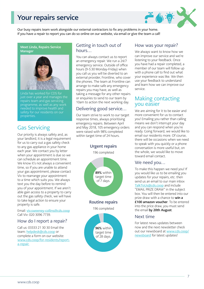### Your repairs service



Our busy repairs team work alongside our external contractors to fix any problems in your home. If you have a repair to report you can do so online on our website, via email or give the team a call!

Meet Linda, Repairs Service Manager



Linda has worked for CDS for just over a year and manages the repairs team and gas servicing programme, as well as any work needed to improve health and safety for our residents on our properties.

#### Gas Servicing

Our priority is always safety and, as your landlord, it is a legal requirement for us to carry out a gas safety check to any gas appliance in your home each year. We contact you by letter when your appointment is due so we can schedule an appointment time. We know it's not always a convenient time, so if you are unable to attend your gas appointment, please contact Viv to rearrange your appointment to a time which suits you. We always text you the day before to remind you of your appointment. If we aren't able gain access to a property to carry out the gas safety check, we will have to take legal action to ensure your property is safe.

Email: [viv.sweeney-collins@cds.coop](mailto:viv.sweeney-collins%40cds.coop?subject=) Call Viv: 020 3096 7739.

#### How do I report a repair?

Call us: 03333 21 30 30 Email the team: [helpdesk@cds.coop](http://helpdesk@cds.coop) or complete a form on our website: [www.cds.coop/for-residents/report](https://www.cds.coop/for-residents/report-a-repair/)[a-repair.](https://www.cds.coop/for-residents/report-a-repair/)

#### Getting in touch out of hours…

You can always contact us to report an emergency repair. We run a 24/7 emergency service. Outside of office hours (9-5:30 Monday-Friday) when you call us you will be diverted to an external provider, Frontline, who cover the phones. The team at Frontline can arrange to make safe any emergency repairs you may have, as well as taking a message for any other repairs or enquiries to send to our team by 10am to action the next working day.

#### Delivering good service…

Our team strive to work to our target response times, always prioritising emergency repairs. Between April and May 2018, 105 emergency orders were raised with 98% completed within target time of 24 hours.



#### How was your repair?

We always want to know how we can improve our service and we're listening to your feedback. Once you have had a repair completed, a member of our team will follow up with a phone call to find out what your experience was like. We then use your feedback to understand and learn how we can improve our service.

#### Making contacting you easier

We are aiming for it to be easier and more convenient for us to contact you! Emailing you rather than calling means we don't interrupt your day and you can respond when you're ready. Going forward, we would like to email our residents more. Of course, there will be occasions when we need to speak with you quickly or a phone conversation is more useful but, on the whole, we would like to move toward email contact.

#### We need you…

To make this happen we need you! If you would like us to be emailing you updates for your repairs, etc. then send us an email to our main inbox [TalkToUs@cds.coop](mailto:TalkToUs%40cds.coop?subject=) and include "EMAIL PRIZE DRAW" in the subject box. You will then be entered into our prize draw with a chance to **win a** £100 amazon voucher. To be entered into the price draw, you must send the email by 20th August.

#### Next time

For latest news updates between now and the next newsletter check out our [newsboard](https://www.cds.coop/newsboard/) at [www.cds.coop/](http://www.cds.coop/newsboard) [newsboard](http://www.cds.coop/newsboard) for latest updates!